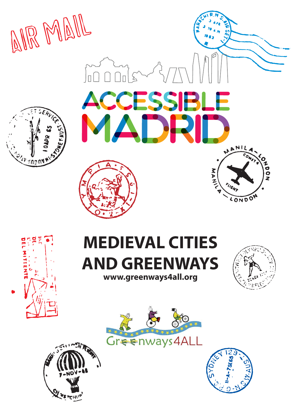







# **MEDIEVAL CITIES AND GREENWAYS www.greenways4all.org**







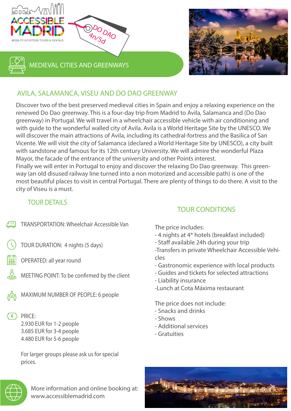

## AVILA, SALAMANCA, VISEU AND DO DAO GREENWAY

Discover two of the best preserved medieval cities in Spain and enjoy a relaxing experience on the renewed Do Dao greenway. This is a four-day trip from Madrid to Avila, Salamanca and (Do Dao greenway) in Portugal. We will travel in a wheelchair accessible vehicle with air conditioning and with guide to the wonderful walled city of Avila. Avila is a World Heritage Site by the UNESCO. We will discover the main attractions of Avila, including its cathedral-fortress and the Basilica of San Vicente. We will visit the city of Salamanca (declared a World Heritage Site by UNESCO), a city built with sandstone and famous for its 12th century University. We will admire the wonderful Plaza Mayor, the facade of the entrance of the university and other Points interest. Finally we will enter in Portugal to enjoy and discover the relaxing Do Dao greenway. This greenway (an old disused railway line turned into a non motorized and accessible path) is one of the

most beautiful places to visit in central Portugal. There are plenty of things to do there. A visit to the city of Viseu is a must.

#### TOUR DETAILS

- TRANSPORTATION: Wheelchair Accessible Van
- TOUR DURATION: 4 nights (5 days)
- OPERATED: all year round
- MEETING POINT: To be confirmed by the client
- 

MAXIMUM NUMBER OF PEOPLE: 6 people

 $\left\{ \in \right\}$  PRICE:

2.930 EUR for 1-2 people 3.685 EUR for 3-4 people 4.480 EUR for 5-6 people

For larger groups please ask us for special prices.

## TOUR CONDITIONS

The price includes:

- 4 nights at 4\* hotels (breakfast included)
- Staff available 24h during your trip
- -Transfers in private Wheelchair Accessible Vehicles
- Gastronomic experience with local products
- Guides and tickets for selected attractions
- Liability insurance
- -Lunch at Cota Máxima restaurant

The price does not include:

- Snacks and drinks
- Shows
- Additional services
- Gratuities





More information and online booking at: **www.accessiblemadrid.com**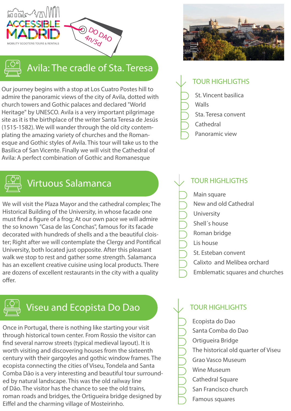



# Avila: The cradle of Sta. Teresa

DO DAO  $4n/5d$ 

Our journey begins with a stop at Los Cuatro Postes hill to admire the panoramic views of the city of Avila, dotted with church towers and Gothic palaces and declared "World Heritage" by UNESCO. Avila is a very important pilgrimage site as it is the birthplace of the writer Santa Teresa de Jesús (1515-1582). We will wander through the old city contemplating the amazing variety of churches and the Romanesque and Gothic styles of Avila. This tour will take us to the Basilica of San Vicente. Finally we will visit the Cathedral of Avila: A perfect combination of Gothic and Romanesque



# Virtuous Salamanca

We will visit the Plaza Mayor and the cathedral complex; The Historical Building of the University, in whose facade one must find a figure of a frog; At our own pace we will admire the so known "Casa de las Conchas", famous for its facade decorated with hundreds of shells and a the beautiful cloister; Right after we will contemplate the Clergy and Pontifical University, both located just opposite. After this pleasant walk we stop to rest and gather some strength. Salamanca has an excellent creative cuisine using local products. There are dozens of excellent restaurants in the city with a quality offer



## Viseu and Ecopista Do Dao

Once in Portugal, there is nothing like starting your visit through historical town center. From Rossio the visitor can find several narrow streets (typical medieval layout). It is worth visiting and discovering houses from the sixteenth century with their gargoyles and gothic window frames. The ecopista connecting the cities of Viseu, Tondela and Santa Comba Dão is a very interesting and beautiful tour surrounded by natural landscape. This was the old railway line of Dão. The visitor has the chance to see the old trains, roman roads and bridges, the Ortigueira bridge designed by Eiffel and the charming village of Mosteirinho.



## TOUR HIGHLIGTHS

- St. Vincent basilica
- Walls
- Sta. Teresa convent
- **Cathedral**
- Panoramic view

## **TOUR HIGHLIGTHS**

- Main square
- New and old Cathedral
- University
- Shell´s house
- Roman bridge
- Lis house
- St. Esteban convent
- Calixto and Melibea orchard
- Emblematic squares and churches

### TOUR HIGHLIGHTS

- Ecopista do Dao
- Santa Comba do Dao
- Ortigueira Bridge
- The historical old quarter of Viseu
- Grao Vasco Museum
- Wine Museum
- Cathedral Square
- San Francisco church
- Famous squares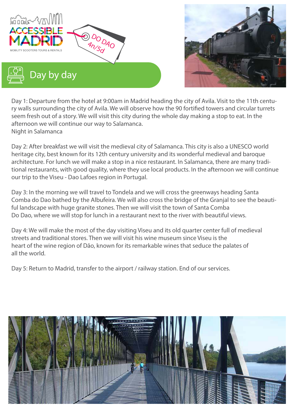



Day 1: Departure from the hotel at 9:00am in Madrid heading the city of Avila. Visit to the 11th century walls surrounding the city of Avila. We will observe how the 90 fortified towers and circular turrets seem fresh out of a story. We will visit this city during the whole day making a stop to eat. In the afternoon we will continue our way to Salamanca. Night in Salamanca

Day 2: After breakfast we will visit the medieval city of Salamanca. This city is also a UNESCO world heritage city, best known for its 12th century university and its wonderful medieval and baroque architecture. For lunch we will make a stop in a nice restaurant. In Salamanca, there are many traditional restaurants, with good quality, where they use local products. In the afternoon we will continue our trip to the Viseu - Dao Lafoes region in Portugal.

Day 3: In the morning we will travel to Tondela and we will cross the greenways heading Santa Comba do Dao bathed by the Albufeira. We will also cross the bridge of the Granjal to see the beautiful landscape with huge granite stones. Then we will visit the town of Santa Comba Do Dao, where we will stop for lunch in a restaurant next to the river with beautiful views.

Day 4: We will make the most of the day visiting Viseu and its old quarter center full of medieval streets and traditional stores. Then we will visit his wine museum since Viseu is the heart of the wine region of Dão, known for its remarkable wines that seduce the palates of all the world.

Day 5: Return to Madrid, transfer to the airport / railway station. End of our services.

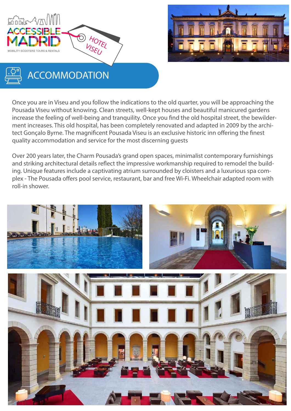





# ACCOMMODATION

Once you are in Viseu and you follow the indications to the old quarter, you will be approaching the Pousada Viseu without knowing. Clean streets, well-kept houses and beautiful manicured gardens increase the feeling of well-being and tranquility. Once you find the old hospital street, the bewilderment increases. This old hospital, has been completely renovated and adapted in 2009 by the architect Gonçalo Byrne. The magnificent Pousada Viseu is an exclusive historic inn offering the finest quality accommodation and service for the most discerning guests

Over 200 years later, the Charm Pousada's grand open spaces, minimalist contemporary furnishings and striking architectural details reflect the impressive workmanship required to remodel the building. Unique features include a captivating atrium surrounded by cloisters and a luxurious spa complex - The Pousada offers pool service, restaurant, bar and free Wi-Fi. Wheelchair adapted room with roll-in shower.